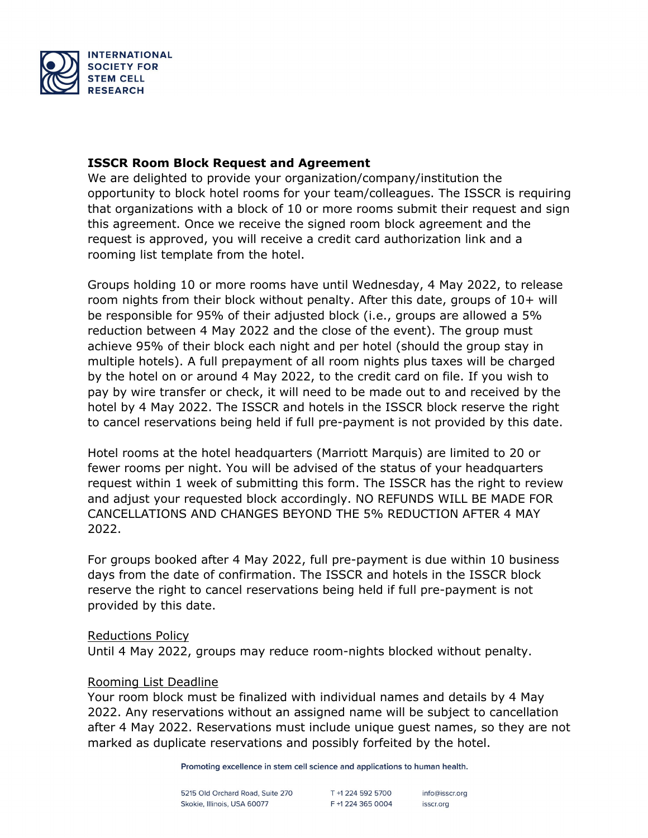

## **ISSCR Room Block Request and Agreement**

We are delighted to provide your organization/company/institution the opportunity to block hotel rooms for your team/colleagues. The ISSCR is requiring that organizations with a block of 10 or more rooms submit their request and sign this agreement. Once we receive the signed room block agreement and the request is approved, you will receive a credit card authorization link and a rooming list template from the hotel.

Groups holding 10 or more rooms have until Wednesday, 4 May 2022, to release room nights from their block without penalty. After this date, groups of 10+ will be responsible for 95% of their adjusted block (i.e., groups are allowed a 5% reduction between 4 May 2022 and the close of the event). The group must achieve 95% of their block each night and per hotel (should the group stay in multiple hotels). A full prepayment of all room nights plus taxes will be charged by the hotel on or around 4 May 2022, to the credit card on file. If you wish to pay by wire transfer or check, it will need to be made out to and received by the hotel by 4 May 2022. The ISSCR and hotels in the ISSCR block reserve the right to cancel reservations being held if full pre-payment is not provided by this date.

Hotel rooms at the hotel headquarters (Marriott Marquis) are limited to 20 or fewer rooms per night. You will be advised of the status of your headquarters request within 1 week of submitting this form. The ISSCR has the right to review and adjust your requested block accordingly. NO REFUNDS WILL BE MADE FOR CANCELLATIONS AND CHANGES BEYOND THE 5% REDUCTION AFTER 4 MAY 2022.

For groups booked after 4 May 2022, full pre-payment is due within 10 business days from the date of confirmation. The ISSCR and hotels in the ISSCR block reserve the right to cancel reservations being held if full pre-payment is not provided by this date.

### Reductions Policy

Until 4 May 2022, groups may reduce room-nights blocked without penalty.

#### Rooming List Deadline

Your room block must be finalized with individual names and details by 4 May 2022. Any reservations without an assigned name will be subject to cancellation after 4 May 2022. Reservations must include unique guest names, so they are not marked as duplicate reservations and possibly forfeited by the hotel.

Promoting excellence in stem cell science and applications to human health.

5215 Old Orchard Road, Suite 270 Skokie, Illinois, USA 60077

T +1 224 592 5700 F +1 224 365 0004

info@isscr.org isscr.org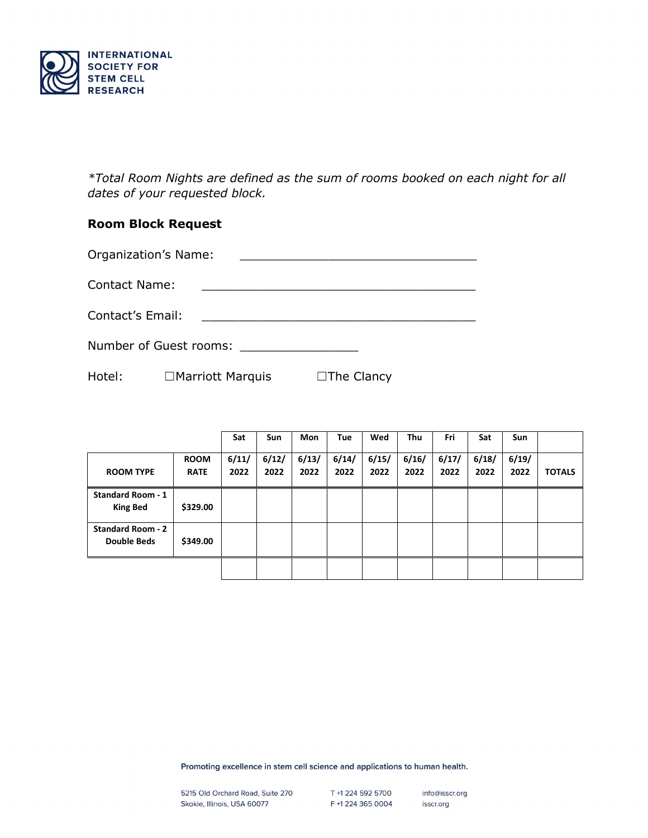

*\*Total Room Nights are defined as the sum of rooms booked on each night for all dates of your requested block.*

# **Room Block Request**

| <b>Organization's Name:</b> |  |
|-----------------------------|--|
|-----------------------------|--|

Contact Name:

Contact's Email: \_\_\_\_\_\_\_\_\_\_\_\_\_\_\_\_\_\_\_\_\_\_\_\_\_\_\_\_\_\_\_\_\_\_\_\_\_

Number of Guest rooms: \_\_\_\_\_\_\_\_\_\_\_\_\_\_\_\_

Hotel: □Marriott Marquis □The Clancy

|                                                |                            | Sat           | <b>Sun</b>    | <b>Mon</b>    | Tue           | Wed           | Thu           | Fri           | Sat           | Sun           |               |
|------------------------------------------------|----------------------------|---------------|---------------|---------------|---------------|---------------|---------------|---------------|---------------|---------------|---------------|
| <b>ROOM TYPE</b>                               | <b>ROOM</b><br><b>RATE</b> | 6/11/<br>2022 | 6/12/<br>2022 | 6/13/<br>2022 | 6/14/<br>2022 | 6/15/<br>2022 | 6/16/<br>2022 | 6/17/<br>2022 | 6/18/<br>2022 | 6/19/<br>2022 | <b>TOTALS</b> |
| <b>Standard Room - 1</b><br><b>King Bed</b>    | \$329.00                   |               |               |               |               |               |               |               |               |               |               |
| <b>Standard Room - 2</b><br><b>Double Beds</b> | \$349.00                   |               |               |               |               |               |               |               |               |               |               |
|                                                |                            |               |               |               |               |               |               |               |               |               |               |

Promoting excellence in stem cell science and applications to human health.

info@isscr.org isscr.org